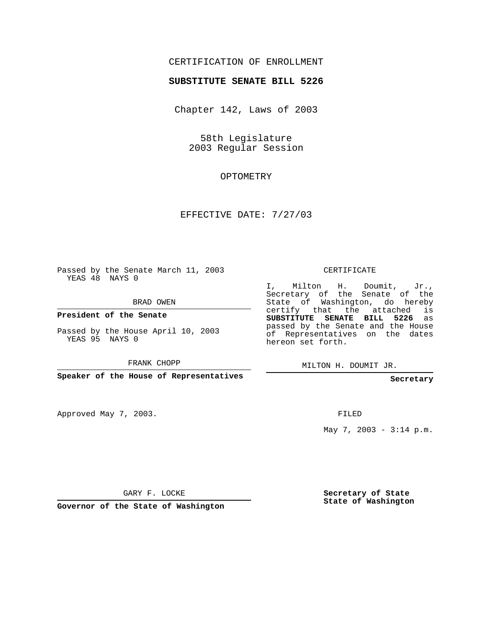## CERTIFICATION OF ENROLLMENT

#### **SUBSTITUTE SENATE BILL 5226**

Chapter 142, Laws of 2003

58th Legislature 2003 Regular Session

### OPTOMETRY

## EFFECTIVE DATE: 7/27/03

Passed by the Senate March 11, 2003 YEAS 48 NAYS 0

BRAD OWEN

**President of the Senate**

Passed by the House April 10, 2003 YEAS 95 NAYS 0

FRANK CHOPP

**Speaker of the House of Representatives**

Approved May 7, 2003.

CERTIFICATE

I, Milton H. Doumit, Jr., Secretary of the Senate of the State of Washington, do hereby certify that the attached is **SUBSTITUTE SENATE BILL 5226** as passed by the Senate and the House of Representatives on the dates hereon set forth.

MILTON H. DOUMIT JR.

**Secretary**

FILED

May 7, 2003 -  $3:14$  p.m.

GARY F. LOCKE

**Governor of the State of Washington**

**Secretary of State State of Washington**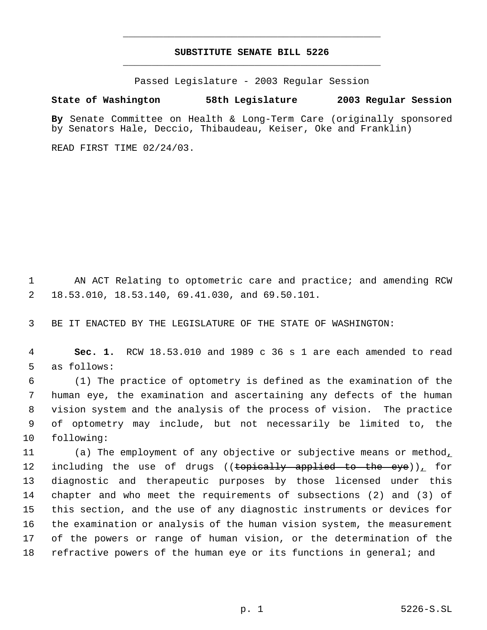# **SUBSTITUTE SENATE BILL 5226** \_\_\_\_\_\_\_\_\_\_\_\_\_\_\_\_\_\_\_\_\_\_\_\_\_\_\_\_\_\_\_\_\_\_\_\_\_\_\_\_\_\_\_\_\_

\_\_\_\_\_\_\_\_\_\_\_\_\_\_\_\_\_\_\_\_\_\_\_\_\_\_\_\_\_\_\_\_\_\_\_\_\_\_\_\_\_\_\_\_\_

Passed Legislature - 2003 Regular Session

#### **State of Washington 58th Legislature 2003 Regular Session**

**By** Senate Committee on Health & Long-Term Care (originally sponsored by Senators Hale, Deccio, Thibaudeau, Keiser, Oke and Franklin)

READ FIRST TIME 02/24/03.

1 AN ACT Relating to optometric care and practice; and amending RCW 2 18.53.010, 18.53.140, 69.41.030, and 69.50.101.

3 BE IT ENACTED BY THE LEGISLATURE OF THE STATE OF WASHINGTON:

 4 **Sec. 1.** RCW 18.53.010 and 1989 c 36 s 1 are each amended to read 5 as follows:

 (1) The practice of optometry is defined as the examination of the human eye, the examination and ascertaining any defects of the human vision system and the analysis of the process of vision. The practice of optometry may include, but not necessarily be limited to, the following:

11 (a) The employment of any objective or subjective means or method, 12 including the use of drugs ((topically applied to the eye)), for diagnostic and therapeutic purposes by those licensed under this chapter and who meet the requirements of subsections (2) and (3) of this section, and the use of any diagnostic instruments or devices for the examination or analysis of the human vision system, the measurement of the powers or range of human vision, or the determination of the refractive powers of the human eye or its functions in general; and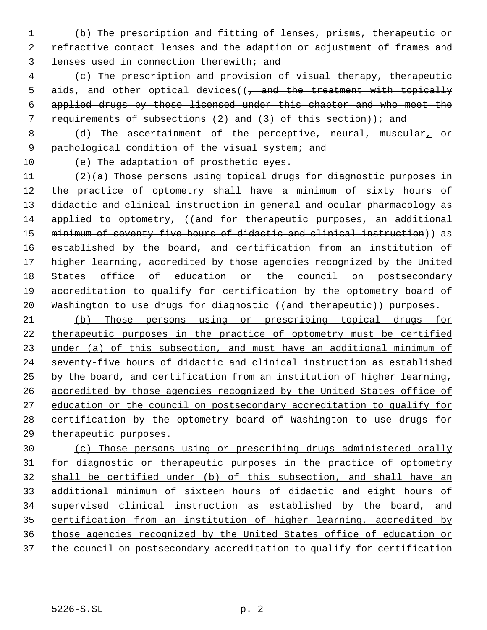(b) The prescription and fitting of lenses, prisms, therapeutic or refractive contact lenses and the adaption or adjustment of frames and lenses used in connection therewith; and

 (c) The prescription and provision of visual therapy, therapeutic 5 aids, and other optical devices( $\left($ , and the treatment with topically applied drugs by those licensed under this chapter and who meet the requirements of subsections (2) and (3) of this section)); and

8 (d) The ascertainment of the perceptive, neural, muscular, or pathological condition of the visual system; and

(e) The adaptation of prosthetic eyes.

 (2)(a) Those persons using topical drugs for diagnostic purposes in the practice of optometry shall have a minimum of sixty hours of didactic and clinical instruction in general and ocular pharmacology as 14 applied to optometry, ((and for therapeutic purposes, an additional minimum of seventy-five hours of didactic and clinical instruction)) as established by the board, and certification from an institution of higher learning, accredited by those agencies recognized by the United States office of education or the council on postsecondary accreditation to qualify for certification by the optometry board of 20 Washington to use drugs for diagnostic ((and therapeutic)) purposes.

 (b) Those persons using or prescribing topical drugs for therapeutic purposes in the practice of optometry must be certified 23 under (a) of this subsection, and must have an additional minimum of seventy-five hours of didactic and clinical instruction as established by the board, and certification from an institution of higher learning, 26 accredited by those agencies recognized by the United States office of 27 education or the council on postsecondary accreditation to qualify for certification by the optometry board of Washington to use drugs for therapeutic purposes.

 (c) Those persons using or prescribing drugs administered orally 31 for diagnostic or therapeutic purposes in the practice of optometry shall be certified under (b) of this subsection, and shall have an additional minimum of sixteen hours of didactic and eight hours of supervised clinical instruction as established by the board, and certification from an institution of higher learning, accredited by those agencies recognized by the United States office of education or 37 the council on postsecondary accreditation to qualify for certification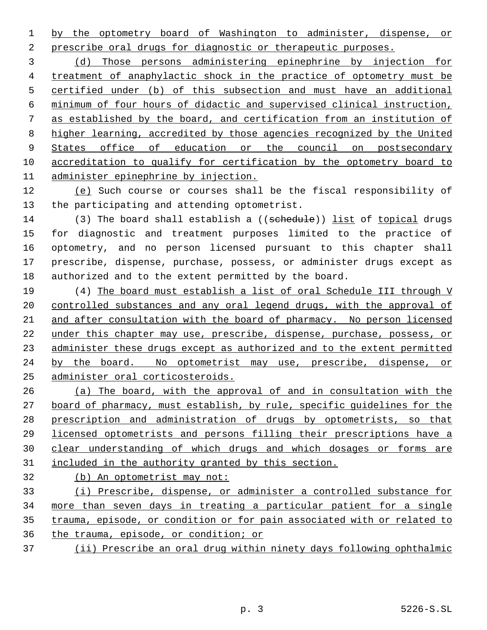by the optometry board of Washington to administer, dispense, or prescribe oral drugs for diagnostic or therapeutic purposes.

 (d) Those persons administering epinephrine by injection for treatment of anaphylactic shock in the practice of optometry must be certified under (b) of this subsection and must have an additional minimum of four hours of didactic and supervised clinical instruction, as established by the board, and certification from an institution of higher learning, accredited by those agencies recognized by the United 9 States office of education or the council on postsecondary accreditation to qualify for certification by the optometry board to administer epinephrine by injection.

 (e) Such course or courses shall be the fiscal responsibility of the participating and attending optometrist.

14 (3) The board shall establish a ((sehedule)) list of topical drugs for diagnostic and treatment purposes limited to the practice of optometry, and no person licensed pursuant to this chapter shall prescribe, dispense, purchase, possess, or administer drugs except as authorized and to the extent permitted by the board.

 (4) The board must establish a list of oral Schedule III through V 20 controlled substances and any oral legend drugs, with the approval of and after consultation with the board of pharmacy. No person licensed under this chapter may use, prescribe, dispense, purchase, possess, or administer these drugs except as authorized and to the extent permitted by the board. No optometrist may use, prescribe, dispense, or administer oral corticosteroids.

 (a) The board, with the approval of and in consultation with the 27 board of pharmacy, must establish, by rule, specific quidelines for the prescription and administration of drugs by optometrists, so that licensed optometrists and persons filling their prescriptions have a clear understanding of which drugs and which dosages or forms are included in the authority granted by this section.

(b) An optometrist may not:

 (i) Prescribe, dispense, or administer a controlled substance for more than seven days in treating a particular patient for a single trauma, episode, or condition or for pain associated with or related to the trauma, episode, or condition; or

(ii) Prescribe an oral drug within ninety days following ophthalmic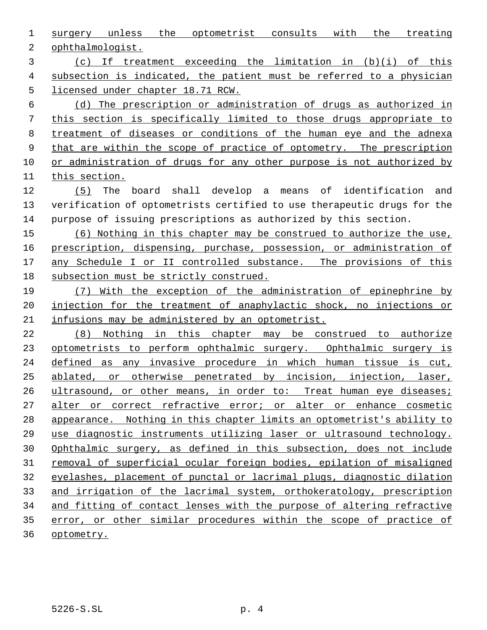surgery unless the optometrist consults with the treating ophthalmologist.

 (c) If treatment exceeding the limitation in (b)(i) of this subsection is indicated, the patient must be referred to a physician licensed under chapter 18.71 RCW.

 (d) The prescription or administration of drugs as authorized in this section is specifically limited to those drugs appropriate to treatment of diseases or conditions of the human eye and the adnexa 9 that are within the scope of practice of optometry. The prescription or administration of drugs for any other purpose is not authorized by this section.

 (5) The board shall develop a means of identification and verification of optometrists certified to use therapeutic drugs for the purpose of issuing prescriptions as authorized by this section.

 (6) Nothing in this chapter may be construed to authorize the use, prescription, dispensing, purchase, possession, or administration of 17 any Schedule I or II controlled substance. The provisions of this subsection must be strictly construed.

 (7) With the exception of the administration of epinephrine by 20 injection for the treatment of anaphylactic shock, no injections or infusions may be administered by an optometrist.

 (8) Nothing in this chapter may be construed to authorize 23 optometrists to perform ophthalmic surgery. Ophthalmic surgery is defined as any invasive procedure in which human tissue is cut, ablated, or otherwise penetrated by incision, injection, laser, 26 ultrasound, or other means, in order to: Treat human eye diseases; alter or correct refractive error; or alter or enhance cosmetic appearance. Nothing in this chapter limits an optometrist's ability to use diagnostic instruments utilizing laser or ultrasound technology. Ophthalmic surgery, as defined in this subsection, does not include removal of superficial ocular foreign bodies, epilation of misaligned eyelashes, placement of punctal or lacrimal plugs, diagnostic dilation and irrigation of the lacrimal system, orthokeratology, prescription and fitting of contact lenses with the purpose of altering refractive error, or other similar procedures within the scope of practice of optometry.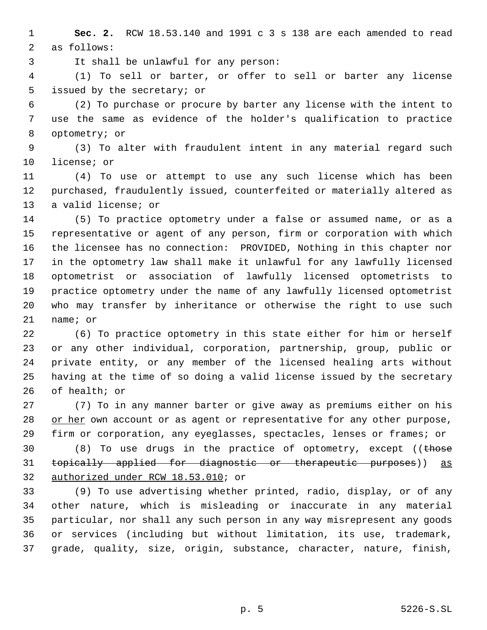**Sec. 2.** RCW 18.53.140 and 1991 c 3 s 138 are each amended to read as follows:

It shall be unlawful for any person:

 (1) To sell or barter, or offer to sell or barter any license issued by the secretary; or

 (2) To purchase or procure by barter any license with the intent to use the same as evidence of the holder's qualification to practice optometry; or

 (3) To alter with fraudulent intent in any material regard such license; or

 (4) To use or attempt to use any such license which has been purchased, fraudulently issued, counterfeited or materially altered as a valid license; or

 (5) To practice optometry under a false or assumed name, or as a representative or agent of any person, firm or corporation with which the licensee has no connection: PROVIDED, Nothing in this chapter nor in the optometry law shall make it unlawful for any lawfully licensed optometrist or association of lawfully licensed optometrists to practice optometry under the name of any lawfully licensed optometrist who may transfer by inheritance or otherwise the right to use such name; or

 (6) To practice optometry in this state either for him or herself or any other individual, corporation, partnership, group, public or private entity, or any member of the licensed healing arts without having at the time of so doing a valid license issued by the secretary of health; or

 (7) To in any manner barter or give away as premiums either on his 28 or her own account or as agent or representative for any other purpose, firm or corporation, any eyeglasses, spectacles, lenses or frames; or

30 (8) To use drugs in the practice of optometry, except ((those topically applied for diagnostic or therapeutic purposes)) as authorized under RCW 18.53.010; or

 (9) To use advertising whether printed, radio, display, or of any other nature, which is misleading or inaccurate in any material particular, nor shall any such person in any way misrepresent any goods or services (including but without limitation, its use, trademark, grade, quality, size, origin, substance, character, nature, finish,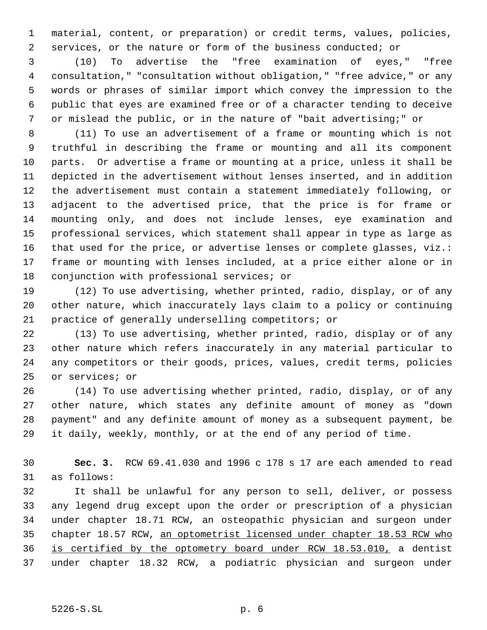material, content, or preparation) or credit terms, values, policies, services, or the nature or form of the business conducted; or

 (10) To advertise the "free examination of eyes," "free consultation," "consultation without obligation," "free advice," or any words or phrases of similar import which convey the impression to the public that eyes are examined free or of a character tending to deceive or mislead the public, or in the nature of "bait advertising;" or

 (11) To use an advertisement of a frame or mounting which is not truthful in describing the frame or mounting and all its component parts. Or advertise a frame or mounting at a price, unless it shall be depicted in the advertisement without lenses inserted, and in addition the advertisement must contain a statement immediately following, or adjacent to the advertised price, that the price is for frame or mounting only, and does not include lenses, eye examination and professional services, which statement shall appear in type as large as that used for the price, or advertise lenses or complete glasses, viz.: frame or mounting with lenses included, at a price either alone or in conjunction with professional services; or

 (12) To use advertising, whether printed, radio, display, or of any other nature, which inaccurately lays claim to a policy or continuing practice of generally underselling competitors; or

 (13) To use advertising, whether printed, radio, display or of any other nature which refers inaccurately in any material particular to any competitors or their goods, prices, values, credit terms, policies or services; or

 (14) To use advertising whether printed, radio, display, or of any other nature, which states any definite amount of money as "down payment" and any definite amount of money as a subsequent payment, be it daily, weekly, monthly, or at the end of any period of time.

 **Sec. 3.** RCW 69.41.030 and 1996 c 178 s 17 are each amended to read as follows:

 It shall be unlawful for any person to sell, deliver, or possess any legend drug except upon the order or prescription of a physician under chapter 18.71 RCW, an osteopathic physician and surgeon under chapter 18.57 RCW, an optometrist licensed under chapter 18.53 RCW who is certified by the optometry board under RCW 18.53.010, a dentist under chapter 18.32 RCW, a podiatric physician and surgeon under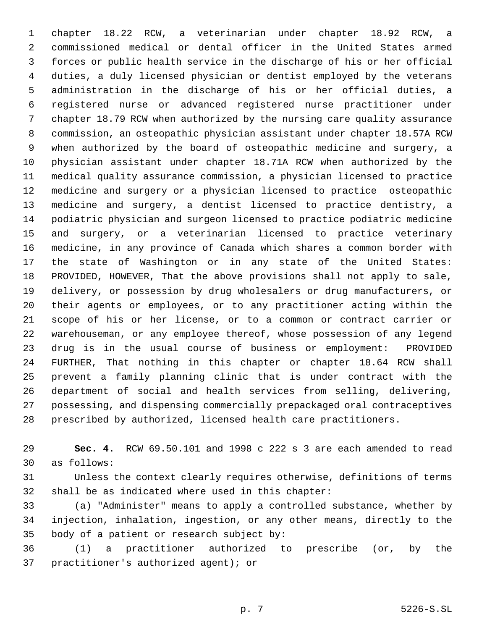chapter 18.22 RCW, a veterinarian under chapter 18.92 RCW, a commissioned medical or dental officer in the United States armed forces or public health service in the discharge of his or her official duties, a duly licensed physician or dentist employed by the veterans administration in the discharge of his or her official duties, a registered nurse or advanced registered nurse practitioner under chapter 18.79 RCW when authorized by the nursing care quality assurance commission, an osteopathic physician assistant under chapter 18.57A RCW when authorized by the board of osteopathic medicine and surgery, a physician assistant under chapter 18.71A RCW when authorized by the medical quality assurance commission, a physician licensed to practice medicine and surgery or a physician licensed to practice osteopathic medicine and surgery, a dentist licensed to practice dentistry, a podiatric physician and surgeon licensed to practice podiatric medicine and surgery, or a veterinarian licensed to practice veterinary medicine, in any province of Canada which shares a common border with the state of Washington or in any state of the United States: PROVIDED, HOWEVER, That the above provisions shall not apply to sale, delivery, or possession by drug wholesalers or drug manufacturers, or their agents or employees, or to any practitioner acting within the scope of his or her license, or to a common or contract carrier or warehouseman, or any employee thereof, whose possession of any legend drug is in the usual course of business or employment: PROVIDED FURTHER, That nothing in this chapter or chapter 18.64 RCW shall prevent a family planning clinic that is under contract with the department of social and health services from selling, delivering, possessing, and dispensing commercially prepackaged oral contraceptives prescribed by authorized, licensed health care practitioners.

 **Sec. 4.** RCW 69.50.101 and 1998 c 222 s 3 are each amended to read as follows:

 Unless the context clearly requires otherwise, definitions of terms shall be as indicated where used in this chapter:

 (a) "Administer" means to apply a controlled substance, whether by injection, inhalation, ingestion, or any other means, directly to the body of a patient or research subject by:

 (1) a practitioner authorized to prescribe (or, by the practitioner's authorized agent); or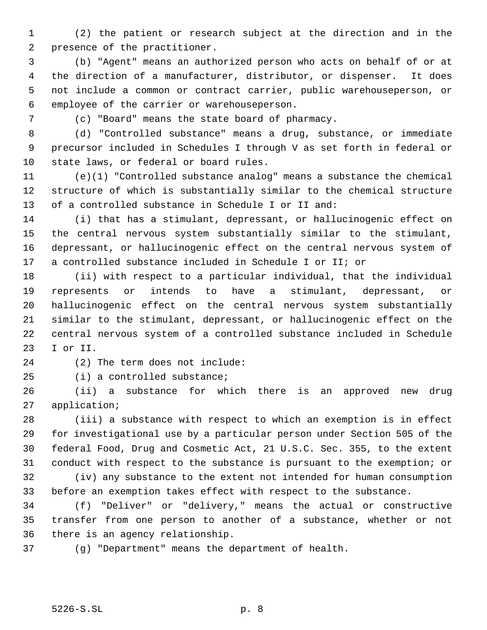(2) the patient or research subject at the direction and in the presence of the practitioner.

 (b) "Agent" means an authorized person who acts on behalf of or at the direction of a manufacturer, distributor, or dispenser. It does not include a common or contract carrier, public warehouseperson, or employee of the carrier or warehouseperson.

(c) "Board" means the state board of pharmacy.

 (d) "Controlled substance" means a drug, substance, or immediate precursor included in Schedules I through V as set forth in federal or state laws, or federal or board rules.

 (e)(1) "Controlled substance analog" means a substance the chemical structure of which is substantially similar to the chemical structure of a controlled substance in Schedule I or II and:

 (i) that has a stimulant, depressant, or hallucinogenic effect on the central nervous system substantially similar to the stimulant, depressant, or hallucinogenic effect on the central nervous system of a controlled substance included in Schedule I or II; or

 (ii) with respect to a particular individual, that the individual represents or intends to have a stimulant, depressant, or hallucinogenic effect on the central nervous system substantially similar to the stimulant, depressant, or hallucinogenic effect on the central nervous system of a controlled substance included in Schedule I or II.

(2) The term does not include:

(i) a controlled substance;

 (ii) a substance for which there is an approved new drug application;

 (iii) a substance with respect to which an exemption is in effect for investigational use by a particular person under Section 505 of the federal Food, Drug and Cosmetic Act, 21 U.S.C. Sec. 355, to the extent conduct with respect to the substance is pursuant to the exemption; or

 (iv) any substance to the extent not intended for human consumption before an exemption takes effect with respect to the substance.

 (f) "Deliver" or "delivery," means the actual or constructive transfer from one person to another of a substance, whether or not there is an agency relationship.

(g) "Department" means the department of health.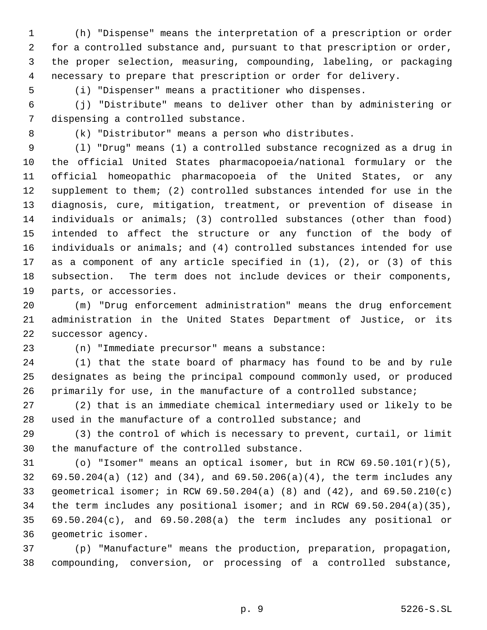(h) "Dispense" means the interpretation of a prescription or order for a controlled substance and, pursuant to that prescription or order, the proper selection, measuring, compounding, labeling, or packaging necessary to prepare that prescription or order for delivery.

(i) "Dispenser" means a practitioner who dispenses.

 (j) "Distribute" means to deliver other than by administering or dispensing a controlled substance.

(k) "Distributor" means a person who distributes.

 (l) "Drug" means (1) a controlled substance recognized as a drug in the official United States pharmacopoeia/national formulary or the official homeopathic pharmacopoeia of the United States, or any supplement to them; (2) controlled substances intended for use in the diagnosis, cure, mitigation, treatment, or prevention of disease in individuals or animals; (3) controlled substances (other than food) intended to affect the structure or any function of the body of individuals or animals; and (4) controlled substances intended for use as a component of any article specified in (1), (2), or (3) of this subsection. The term does not include devices or their components, parts, or accessories.

 (m) "Drug enforcement administration" means the drug enforcement administration in the United States Department of Justice, or its successor agency.

(n) "Immediate precursor" means a substance:

 (1) that the state board of pharmacy has found to be and by rule designates as being the principal compound commonly used, or produced primarily for use, in the manufacture of a controlled substance;

 (2) that is an immediate chemical intermediary used or likely to be used in the manufacture of a controlled substance; and

 (3) the control of which is necessary to prevent, curtail, or limit the manufacture of the controlled substance.

31 (o) "Isomer" means an optical isomer, but in RCW  $69.50.101(r)(5)$ , 69.50.204(a) (12) and (34), and 69.50.206(a)(4), the term includes any geometrical isomer; in RCW 69.50.204(a) (8) and (42), and 69.50.210(c) the term includes any positional isomer; and in RCW 69.50.204(a)(35), 69.50.204(c), and 69.50.208(a) the term includes any positional or geometric isomer.

 (p) "Manufacture" means the production, preparation, propagation, compounding, conversion, or processing of a controlled substance,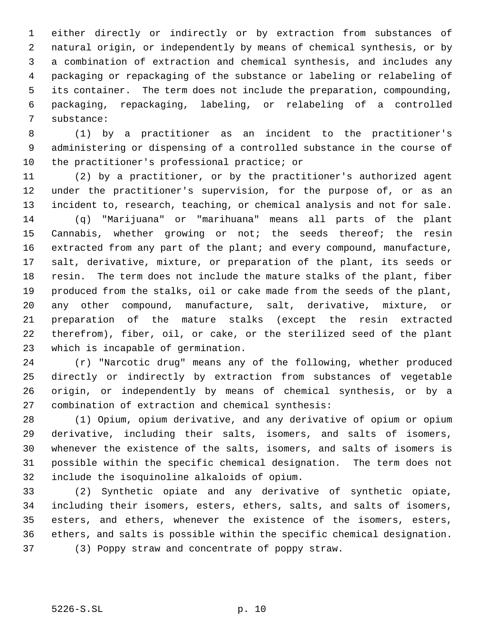either directly or indirectly or by extraction from substances of natural origin, or independently by means of chemical synthesis, or by a combination of extraction and chemical synthesis, and includes any packaging or repackaging of the substance or labeling or relabeling of its container. The term does not include the preparation, compounding, packaging, repackaging, labeling, or relabeling of a controlled substance:

 (1) by a practitioner as an incident to the practitioner's administering or dispensing of a controlled substance in the course of the practitioner's professional practice; or

 (2) by a practitioner, or by the practitioner's authorized agent under the practitioner's supervision, for the purpose of, or as an incident to, research, teaching, or chemical analysis and not for sale. (q) "Marijuana" or "marihuana" means all parts of the plant Cannabis, whether growing or not; the seeds thereof; the resin 16 extracted from any part of the plant; and every compound, manufacture, salt, derivative, mixture, or preparation of the plant, its seeds or resin. The term does not include the mature stalks of the plant, fiber produced from the stalks, oil or cake made from the seeds of the plant, any other compound, manufacture, salt, derivative, mixture, or preparation of the mature stalks (except the resin extracted therefrom), fiber, oil, or cake, or the sterilized seed of the plant which is incapable of germination.

 (r) "Narcotic drug" means any of the following, whether produced directly or indirectly by extraction from substances of vegetable origin, or independently by means of chemical synthesis, or by a combination of extraction and chemical synthesis:

 (1) Opium, opium derivative, and any derivative of opium or opium derivative, including their salts, isomers, and salts of isomers, whenever the existence of the salts, isomers, and salts of isomers is possible within the specific chemical designation. The term does not include the isoquinoline alkaloids of opium.

 (2) Synthetic opiate and any derivative of synthetic opiate, including their isomers, esters, ethers, salts, and salts of isomers, esters, and ethers, whenever the existence of the isomers, esters, ethers, and salts is possible within the specific chemical designation. (3) Poppy straw and concentrate of poppy straw.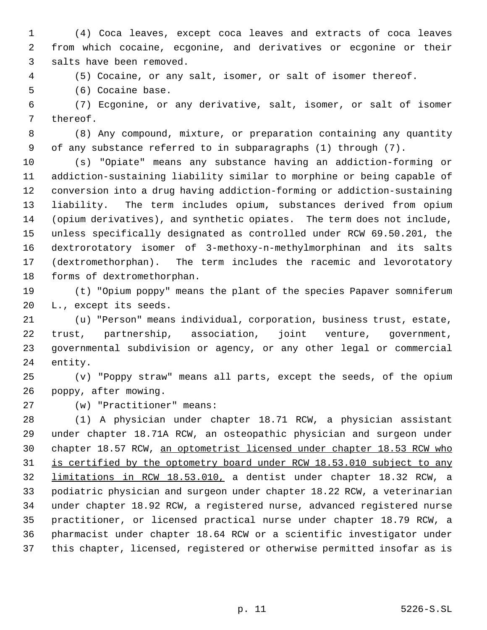(4) Coca leaves, except coca leaves and extracts of coca leaves from which cocaine, ecgonine, and derivatives or ecgonine or their salts have been removed.

(5) Cocaine, or any salt, isomer, or salt of isomer thereof.

(6) Cocaine base.

 (7) Ecgonine, or any derivative, salt, isomer, or salt of isomer thereof.

 (8) Any compound, mixture, or preparation containing any quantity of any substance referred to in subparagraphs (1) through (7).

 (s) "Opiate" means any substance having an addiction-forming or addiction-sustaining liability similar to morphine or being capable of conversion into a drug having addiction-forming or addiction-sustaining liability. The term includes opium, substances derived from opium (opium derivatives), and synthetic opiates. The term does not include, unless specifically designated as controlled under RCW 69.50.201, the dextrorotatory isomer of 3-methoxy-n-methylmorphinan and its salts (dextromethorphan). The term includes the racemic and levorotatory forms of dextromethorphan.

 (t) "Opium poppy" means the plant of the species Papaver somniferum L., except its seeds.

 (u) "Person" means individual, corporation, business trust, estate, trust, partnership, association, joint venture, government, governmental subdivision or agency, or any other legal or commercial entity.

 (v) "Poppy straw" means all parts, except the seeds, of the opium poppy, after mowing.

(w) "Practitioner" means:

 (1) A physician under chapter 18.71 RCW, a physician assistant under chapter 18.71A RCW, an osteopathic physician and surgeon under chapter 18.57 RCW, an optometrist licensed under chapter 18.53 RCW who 31 is certified by the optometry board under RCW 18.53.010 subject to any limitations in RCW 18.53.010, a dentist under chapter 18.32 RCW, a podiatric physician and surgeon under chapter 18.22 RCW, a veterinarian under chapter 18.92 RCW, a registered nurse, advanced registered nurse practitioner, or licensed practical nurse under chapter 18.79 RCW, a pharmacist under chapter 18.64 RCW or a scientific investigator under this chapter, licensed, registered or otherwise permitted insofar as is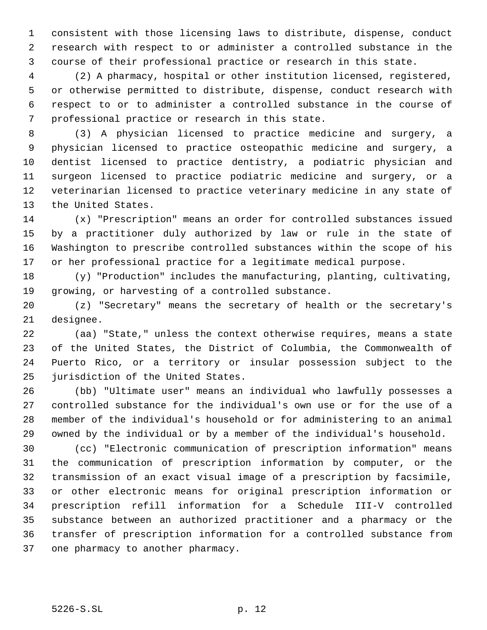consistent with those licensing laws to distribute, dispense, conduct research with respect to or administer a controlled substance in the course of their professional practice or research in this state.

 (2) A pharmacy, hospital or other institution licensed, registered, or otherwise permitted to distribute, dispense, conduct research with respect to or to administer a controlled substance in the course of professional practice or research in this state.

 (3) A physician licensed to practice medicine and surgery, a physician licensed to practice osteopathic medicine and surgery, a dentist licensed to practice dentistry, a podiatric physician and surgeon licensed to practice podiatric medicine and surgery, or a veterinarian licensed to practice veterinary medicine in any state of the United States.

 (x) "Prescription" means an order for controlled substances issued by a practitioner duly authorized by law or rule in the state of Washington to prescribe controlled substances within the scope of his or her professional practice for a legitimate medical purpose.

 (y) "Production" includes the manufacturing, planting, cultivating, growing, or harvesting of a controlled substance.

 (z) "Secretary" means the secretary of health or the secretary's designee.

 (aa) "State," unless the context otherwise requires, means a state of the United States, the District of Columbia, the Commonwealth of Puerto Rico, or a territory or insular possession subject to the jurisdiction of the United States.

 (bb) "Ultimate user" means an individual who lawfully possesses a controlled substance for the individual's own use or for the use of a member of the individual's household or for administering to an animal owned by the individual or by a member of the individual's household.

 (cc) "Electronic communication of prescription information" means the communication of prescription information by computer, or the transmission of an exact visual image of a prescription by facsimile, or other electronic means for original prescription information or prescription refill information for a Schedule III-V controlled substance between an authorized practitioner and a pharmacy or the transfer of prescription information for a controlled substance from one pharmacy to another pharmacy.